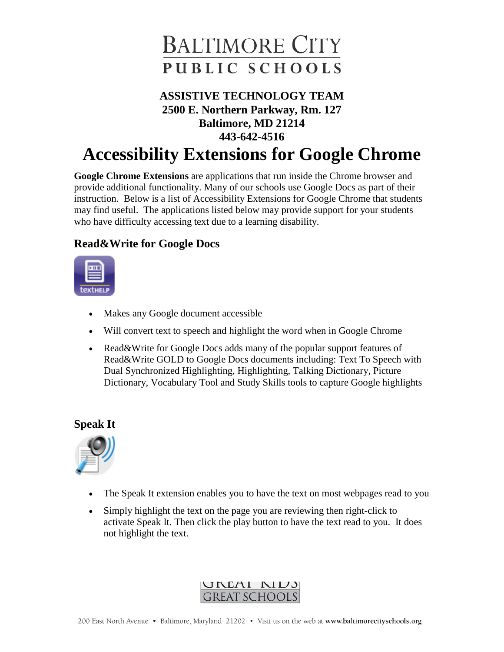

# **ASSISTIVE TECHNOLOGY TEAM 2500 E. Northern Parkway, Rm. 127 Baltimore, MD 21214 443-642-4516**

# **Accessibility Extensions for Google Chrome**

**Google Chrome Extensions** are applications that run inside the Chrome browser and provide additional functionality. Many of our schools use Google Docs as part of their instruction. Below is a list of Accessibility Extensions for Google Chrome that students may find useful. The applications listed below may provide support for your students who have difficulty accessing text due to a learning disability.

## **Read&Write for Google Docs**



- Makes any Google document accessible
- Will convert text to speech and highlight the word when in Google Chrome
- Read&Write for Google Docs adds many of the popular support features of Read&Write GOLD to Google Docs documents including: Text To Speech with Dual Synchronized Highlighting, Highlighting, Talking Dictionary, Picture Dictionary, Vocabulary Tool and Study Skills tools to capture Google highlights

#### **Speak It**



- The Speak It extension enables you to have the text on most webpages read to you
- Simply highlight the text on the page you are reviewing then right-click to activate Speak It. Then click the play button to have the text read to you. It does not highlight the text.

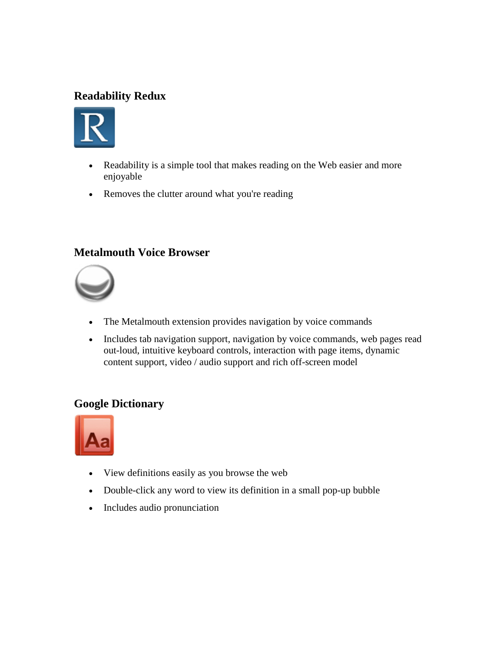# **Readability Redux**



- Readability is a simple tool that makes reading on the Web easier and more enjoyable
- Removes the clutter around what you're reading

#### **Metalmouth Voice Browser**



- The Metalmouth extension provides navigation by voice commands
- Includes tab navigation support, navigation by voice commands, web pages read out-loud, intuitive keyboard controls, interaction with page items, dynamic content support, video / audio support and rich off-screen model

### **Google Dictionary**



- View definitions easily as you browse the web
- Double-click any word to view its definition in a small pop-up bubble
- Includes audio pronunciation